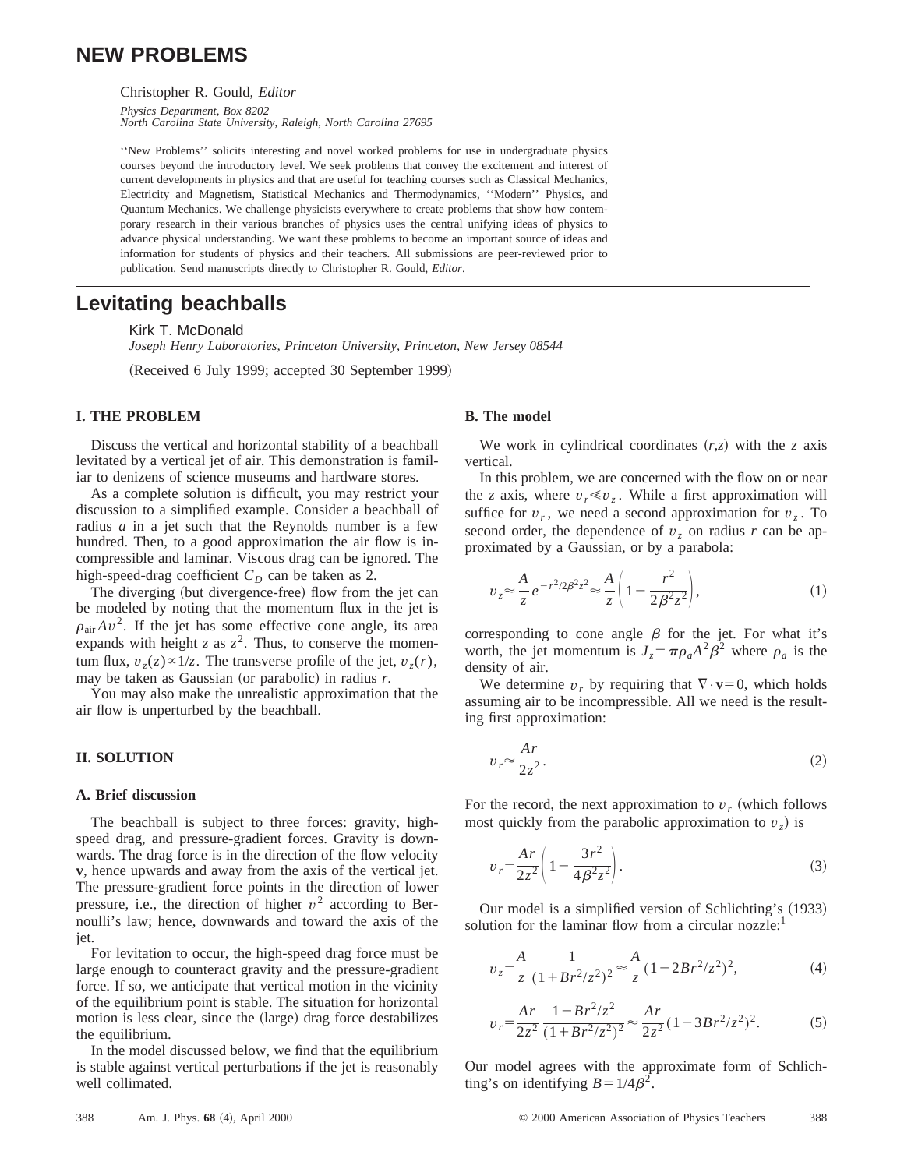# **NEW PROBLEMS**

Christopher R. Gould, *Editor*

*Physics Department, Box 8202 North Carolina State University, Raleigh, North Carolina 27695*

''New Problems'' solicits interesting and novel worked problems for use in undergraduate physics courses beyond the introductory level. We seek problems that convey the excitement and interest of current developments in physics and that are useful for teaching courses such as Classical Mechanics, Electricity and Magnetism, Statistical Mechanics and Thermodynamics, ''Modern'' Physics, and Quantum Mechanics. We challenge physicists everywhere to create problems that show how contemporary research in their various branches of physics uses the central unifying ideas of physics to advance physical understanding. We want these problems to become an important source of ideas and information for students of physics and their teachers. All submissions are peer-reviewed prior to publication. Send manuscripts directly to Christopher R. Gould, *Editor*.

# **Levitating beachballs**

Kirk T. McDonald

*Joseph Henry Laboratories, Princeton University, Princeton, New Jersey 08544*

(Received 6 July 1999; accepted 30 September 1999)

## **I. THE PROBLEM**

Discuss the vertical and horizontal stability of a beachball levitated by a vertical jet of air. This demonstration is familiar to denizens of science museums and hardware stores.

As a complete solution is difficult, you may restrict your discussion to a simplified example. Consider a beachball of radius *a* in a jet such that the Reynolds number is a few hundred. Then, to a good approximation the air flow is incompressible and laminar. Viscous drag can be ignored. The high-speed-drag coefficient  $C_D$  can be taken as 2.

The diverging (but divergence-free) flow from the jet can be modeled by noting that the momentum flux in the jet is  $\rho_{\text{air}}Av^2$ . If the jet has some effective cone angle, its area expands with height *z* as  $z^2$ . Thus, to conserve the momentum flux,  $v_z(z) \propto 1/z$ . The transverse profile of the jet,  $v_z(r)$ , may be taken as Gaussian (or parabolic) in radius  $r$ .

You may also make the unrealistic approximation that the air flow is unperturbed by the beachball.

# **II. SOLUTION**

# **A. Brief discussion**

The beachball is subject to three forces: gravity, highspeed drag, and pressure-gradient forces. Gravity is downwards. The drag force is in the direction of the flow velocity **v**, hence upwards and away from the axis of the vertical jet. The pressure-gradient force points in the direction of lower pressure, i.e., the direction of higher  $v^2$  according to Bernoulli's law; hence, downwards and toward the axis of the jet.

For levitation to occur, the high-speed drag force must be large enough to counteract gravity and the pressure-gradient force. If so, we anticipate that vertical motion in the vicinity of the equilibrium point is stable. The situation for horizontal motion is less clear, since the  $\langle \text{large} \rangle$  drag force destabilizes the equilibrium.

In the model discussed below, we find that the equilibrium is stable against vertical perturbations if the jet is reasonably well collimated.

## **B. The model**

We work in cylindrical coordinates  $(r, z)$  with the *z* axis vertical.

In this problem, we are concerned with the flow on or near the *z* axis, where  $v_r \ll v_z$ . While a first approximation will suffice for  $v_r$ , we need a second approximation for  $v_z$ . To second order, the dependence of  $v<sub>z</sub>$  on radius *r* can be approximated by a Gaussian, or by a parabola:

$$
v_z \approx \frac{A}{z} e^{-r^2/2\beta^2 z^2} \approx \frac{A}{z} \left( 1 - \frac{r^2}{2\beta^2 z^2} \right),\tag{1}
$$

corresponding to cone angle  $\beta$  for the jet. For what it's worth, the jet momentum is  $J_z = \pi \rho_a A^2 \beta^2$  where  $\rho_a$  is the density of air.

We determine  $v_r$  by requiring that  $\nabla \cdot \mathbf{v} = 0$ , which holds assuming air to be incompressible. All we need is the resulting first approximation:

$$
v_r \approx \frac{Ar}{2z^2}.\tag{2}
$$

For the record, the next approximation to  $v_r$  (which follows most quickly from the parabolic approximation to  $v<sub>z</sub>$  is

$$
v_r = \frac{Ar}{2z^2} \left( 1 - \frac{3r^2}{4\beta^2 z^2} \right).
$$
 (3)

Our model is a simplified version of Schlichting's (1933) solution for the laminar flow from a circular nozzle: $<sup>1</sup>$ </sup>

$$
v_z = \frac{A}{z} \frac{1}{(1 + Br^2/z^2)^2} \approx \frac{A}{z} (1 - 2Br^2/z^2)^2,
$$
 (4)

$$
v_r = \frac{Ar}{2z^2} \frac{1 - Br^2/z^2}{(1 + Br^2/z^2)^2} \approx \frac{Ar}{2z^2} (1 - 3Br^2/z^2)^2.
$$
 (5)

Our model agrees with the approximate form of Schlichting's on identifying  $B=1/4\beta^2$ .